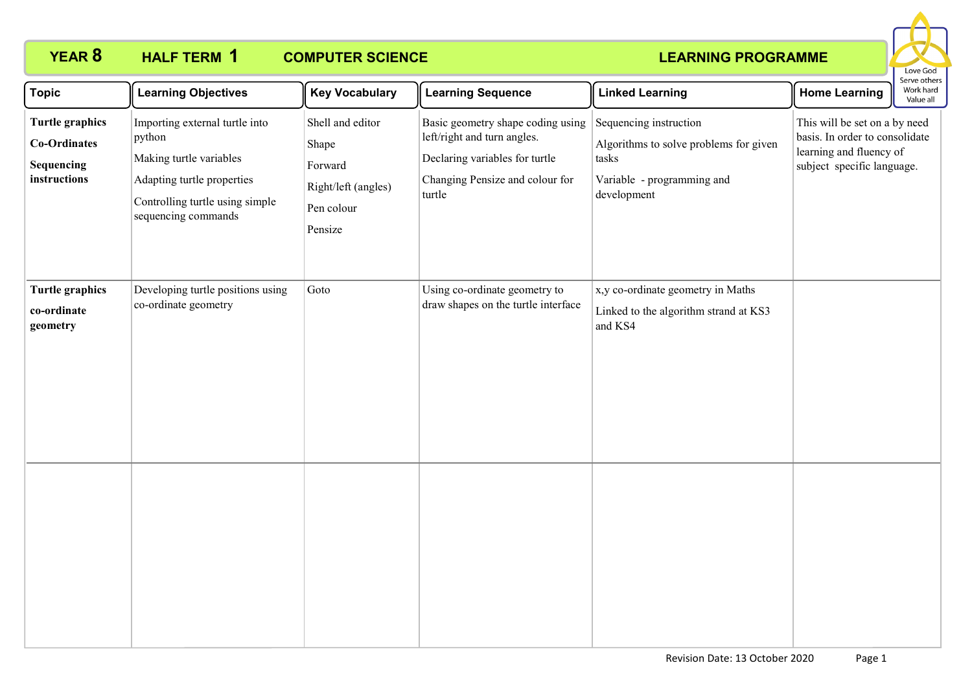

| <b>Topic</b>                                                         | <b>Learning Objectives</b>                                                                                                                                  | <b>Key Vocabulary</b>                                                                | <b>Learning Sequence</b>                                                                                                                        | <b>Linked Learning</b>                                                                                                 | <b>Home Learning</b>                                                                                                     | Serve others<br>Work hard<br>Value all |
|----------------------------------------------------------------------|-------------------------------------------------------------------------------------------------------------------------------------------------------------|--------------------------------------------------------------------------------------|-------------------------------------------------------------------------------------------------------------------------------------------------|------------------------------------------------------------------------------------------------------------------------|--------------------------------------------------------------------------------------------------------------------------|----------------------------------------|
| <b>Turtle graphics</b><br>Co-Ordinates<br>Sequencing<br>instructions | Importing external turtle into<br>python<br>Making turtle variables<br>Adapting turtle properties<br>Controlling turtle using simple<br>sequencing commands | Shell and editor<br>Shape<br>Forward<br>Right/left (angles)<br>Pen colour<br>Pensize | Basic geometry shape coding using<br>left/right and turn angles.<br>Declaring variables for turtle<br>Changing Pensize and colour for<br>turtle | Sequencing instruction<br>Algorithms to solve problems for given<br>tasks<br>Variable - programming and<br>development | This will be set on a by need<br>basis. In order to consolidate<br>learning and fluency of<br>subject specific language. |                                        |
| <b>Turtle graphics</b><br>co-ordinate<br>geometry                    | Developing turtle positions using<br>co-ordinate geometry                                                                                                   | Goto                                                                                 | Using co-ordinate geometry to<br>draw shapes on the turtle interface                                                                            | x,y co-ordinate geometry in Maths<br>Linked to the algorithm strand at KS3<br>and KS4                                  |                                                                                                                          |                                        |
|                                                                      |                                                                                                                                                             |                                                                                      |                                                                                                                                                 |                                                                                                                        |                                                                                                                          |                                        |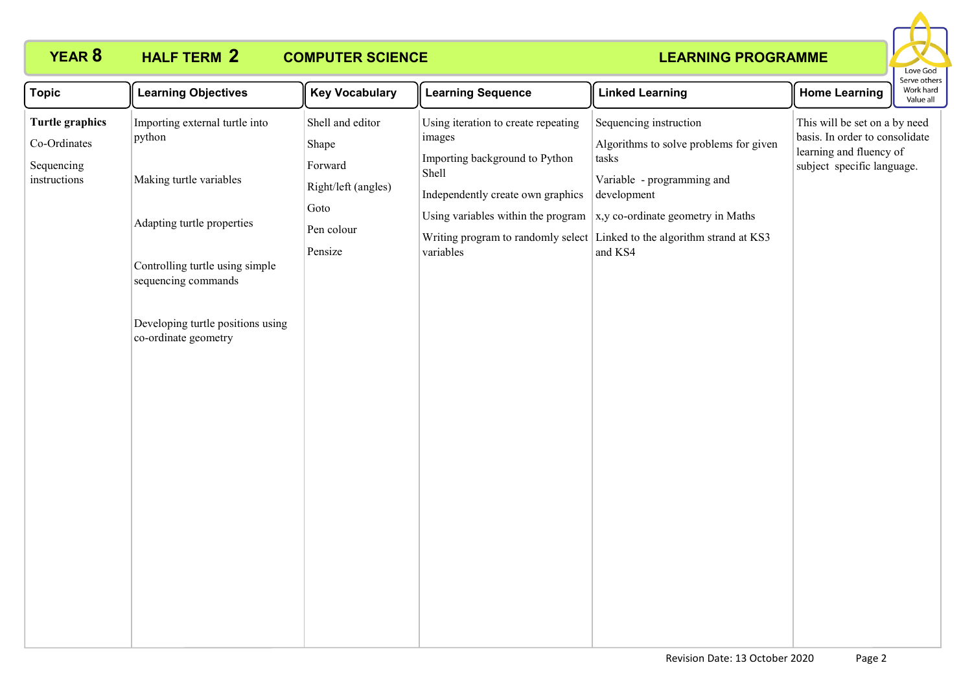

| <b>Topic</b>                                                         | <b>Learning Objectives</b>                                                                                                                                                                                               | <b>Key Vocabulary</b>                                                                        | <b>Learning Sequence</b>                                                                                                                                                         | <b>Linked Learning</b>                                                                                                                                                                                                                             | <b>Home Learning</b>                                                                                                     | serve otrier<br>Work hard<br>Value all |
|----------------------------------------------------------------------|--------------------------------------------------------------------------------------------------------------------------------------------------------------------------------------------------------------------------|----------------------------------------------------------------------------------------------|----------------------------------------------------------------------------------------------------------------------------------------------------------------------------------|----------------------------------------------------------------------------------------------------------------------------------------------------------------------------------------------------------------------------------------------------|--------------------------------------------------------------------------------------------------------------------------|----------------------------------------|
| <b>Turtle graphics</b><br>Co-Ordinates<br>Sequencing<br>instructions | Importing external turtle into<br>python<br>Making turtle variables<br>Adapting turtle properties<br>Controlling turtle using simple<br>sequencing commands<br>Developing turtle positions using<br>co-ordinate geometry | Shell and editor<br>Shape<br>Forward<br>Right/left (angles)<br>Goto<br>Pen colour<br>Pensize | Using iteration to create repeating<br>images<br>Importing background to Python<br>Shell<br>Independently create own graphics<br>Using variables within the program<br>variables | Sequencing instruction<br>Algorithms to solve problems for given<br>tasks<br>Variable - programming and<br>development<br>x,y co-ordinate geometry in Maths<br>Writing program to randomly select Linked to the algorithm strand at KS3<br>and KS4 | This will be set on a by need<br>basis. In order to consolidate<br>learning and fluency of<br>subject specific language. |                                        |
|                                                                      |                                                                                                                                                                                                                          |                                                                                              |                                                                                                                                                                                  |                                                                                                                                                                                                                                                    |                                                                                                                          |                                        |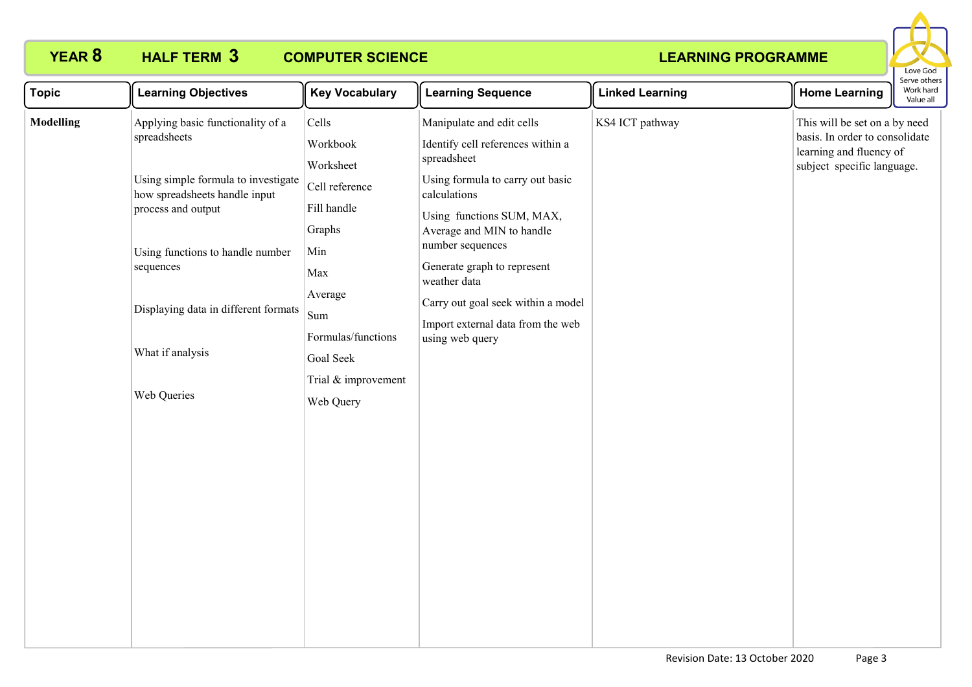

| <b>Topic</b>     | <b>Learning Objectives</b>                                                                 | <b>Key Vocabulary</b>                         | <b>Learning Sequence</b>                                                                                   | <b>Linked Learning</b> | <b>Home Learning</b>                                                                                                     | erve outer:<br>Work hard<br>Value all |
|------------------|--------------------------------------------------------------------------------------------|-----------------------------------------------|------------------------------------------------------------------------------------------------------------|------------------------|--------------------------------------------------------------------------------------------------------------------------|---------------------------------------|
| <b>Modelling</b> | Applying basic functionality of a<br>spreadsheets                                          | Cells<br>Workbook<br>Worksheet                | Manipulate and edit cells<br>Identify cell references within a<br>spreadsheet                              | KS4 ICT pathway        | This will be set on a by need<br>basis. In order to consolidate<br>learning and fluency of<br>subject specific language. |                                       |
|                  | Using simple formula to investigate<br>how spreadsheets handle input<br>process and output | Cell reference<br>Fill handle<br>Graphs       | Using formula to carry out basic<br>calculations<br>Using functions SUM, MAX,<br>Average and MIN to handle |                        |                                                                                                                          |                                       |
|                  | Using functions to handle number<br>sequences                                              | Min<br>Max<br>Average                         | number sequences<br>Generate graph to represent<br>weather data                                            |                        |                                                                                                                          |                                       |
|                  | Displaying data in different formats<br>What if analysis                                   | Sum<br>Formulas/functions                     | Carry out goal seek within a model<br>Import external data from the web<br>using web query                 |                        |                                                                                                                          |                                       |
|                  | Web Queries                                                                                | Goal Seek<br>Trial & improvement<br>Web Query |                                                                                                            |                        |                                                                                                                          |                                       |
|                  |                                                                                            |                                               |                                                                                                            |                        |                                                                                                                          |                                       |
|                  |                                                                                            |                                               |                                                                                                            |                        |                                                                                                                          |                                       |
|                  |                                                                                            |                                               |                                                                                                            |                        |                                                                                                                          |                                       |
|                  |                                                                                            |                                               |                                                                                                            |                        |                                                                                                                          |                                       |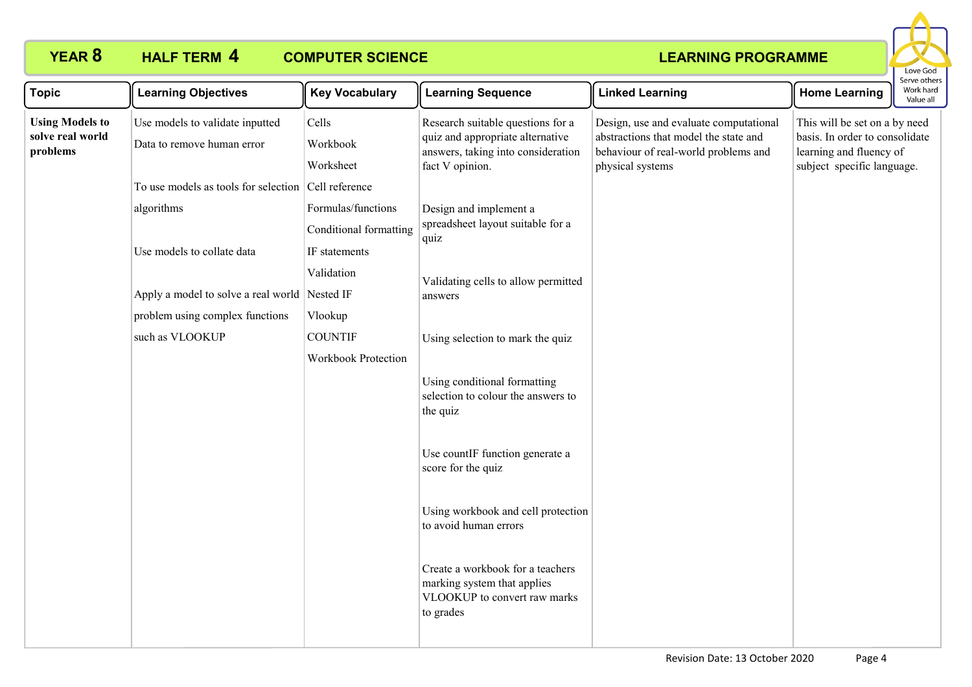

| <b>Topic</b>                                           | <b>Learning Objectives</b>                                    | <b>Key Vocabulary</b>          | <b>Learning Sequence</b>                                                                                                       | <b>Linked Learning</b>                                                                                                                      | <b>Home Learning</b>                                                                                                     | Serve other<br>Work hard<br>Value all |
|--------------------------------------------------------|---------------------------------------------------------------|--------------------------------|--------------------------------------------------------------------------------------------------------------------------------|---------------------------------------------------------------------------------------------------------------------------------------------|--------------------------------------------------------------------------------------------------------------------------|---------------------------------------|
| <b>Using Models to</b><br>solve real world<br>problems | Use models to validate inputted<br>Data to remove human error | Cells<br>Workbook<br>Worksheet | Research suitable questions for a<br>quiz and appropriate alternative<br>answers, taking into consideration<br>fact V opinion. | Design, use and evaluate computational<br>abstractions that model the state and<br>behaviour of real-world problems and<br>physical systems | This will be set on a by need<br>basis. In order to consolidate<br>learning and fluency of<br>subject specific language. |                                       |
|                                                        | To use models as tools for selection Cell reference           |                                |                                                                                                                                |                                                                                                                                             |                                                                                                                          |                                       |
|                                                        | algorithms                                                    | Formulas/functions             | Design and implement a<br>spreadsheet layout suitable for a<br>quiz                                                            |                                                                                                                                             |                                                                                                                          |                                       |
|                                                        |                                                               | <b>Conditional formatting</b>  |                                                                                                                                |                                                                                                                                             |                                                                                                                          |                                       |
|                                                        | Use models to collate data                                    | IF statements                  |                                                                                                                                |                                                                                                                                             |                                                                                                                          |                                       |
|                                                        |                                                               | Validation                     | Validating cells to allow permitted                                                                                            |                                                                                                                                             |                                                                                                                          |                                       |
|                                                        | Apply a model to solve a real world Nested IF                 |                                | answers                                                                                                                        |                                                                                                                                             |                                                                                                                          |                                       |
|                                                        | problem using complex functions                               | Vlookup                        |                                                                                                                                |                                                                                                                                             |                                                                                                                          |                                       |
|                                                        | such as VLOOKUP                                               | <b>COUNTIF</b>                 | Using selection to mark the quiz                                                                                               |                                                                                                                                             |                                                                                                                          |                                       |
|                                                        |                                                               | <b>Workbook Protection</b>     |                                                                                                                                |                                                                                                                                             |                                                                                                                          |                                       |
|                                                        |                                                               |                                | Using conditional formatting<br>selection to colour the answers to<br>the quiz                                                 |                                                                                                                                             |                                                                                                                          |                                       |
|                                                        |                                                               |                                | Use countIF function generate a<br>score for the quiz                                                                          |                                                                                                                                             |                                                                                                                          |                                       |
|                                                        |                                                               |                                | Using workbook and cell protection<br>to avoid human errors                                                                    |                                                                                                                                             |                                                                                                                          |                                       |
|                                                        |                                                               |                                | Create a workbook for a teachers<br>marking system that applies<br>VLOOKUP to convert raw marks<br>to grades                   |                                                                                                                                             |                                                                                                                          |                                       |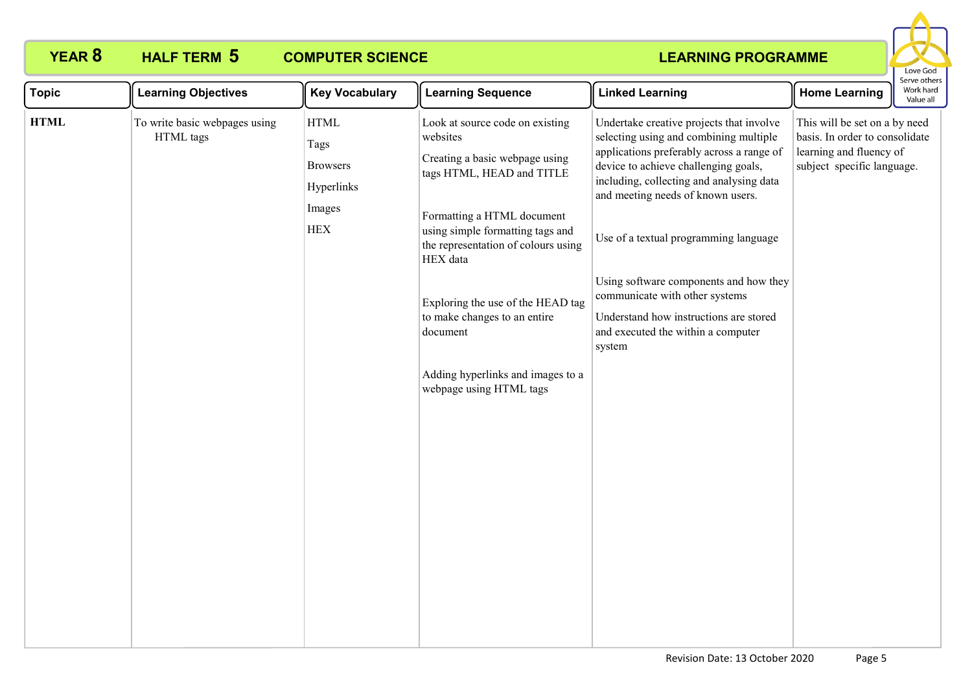

| <b>Topic</b> | <b>Learning Objectives</b>                 | <b>Key Vocabulary</b>                                                                                 | <b>Learning Sequence</b>                                                                                                     | <b>Linked Learning</b>                                                                                                                                                                                                                                   | <b>Home Learning</b>                                                                                                     | Work hard<br>Value all |
|--------------|--------------------------------------------|-------------------------------------------------------------------------------------------------------|------------------------------------------------------------------------------------------------------------------------------|----------------------------------------------------------------------------------------------------------------------------------------------------------------------------------------------------------------------------------------------------------|--------------------------------------------------------------------------------------------------------------------------|------------------------|
| <b>HTML</b>  | To write basic webpages using<br>HTML tags | <b>HTML</b><br>websites<br>Tags<br><b>Browsers</b><br>Hyperlinks<br>Images<br>${\rm HEX}$<br>HEX data | Look at source code on existing<br>Creating a basic webpage using<br>tags HTML, HEAD and TITLE<br>Formatting a HTML document | Undertake creative projects that involve<br>selecting using and combining multiple<br>applications preferably across a range of<br>device to achieve challenging goals,<br>including, collecting and analysing data<br>and meeting needs of known users. | This will be set on a by need<br>basis. In order to consolidate<br>learning and fluency of<br>subject specific language. |                        |
|              |                                            |                                                                                                       | using simple formatting tags and<br>the representation of colours using                                                      | Use of a textual programming language                                                                                                                                                                                                                    |                                                                                                                          |                        |
|              |                                            |                                                                                                       | Exploring the use of the HEAD tag                                                                                            | Using software components and how they<br>communicate with other systems                                                                                                                                                                                 |                                                                                                                          |                        |
|              |                                            |                                                                                                       | to make changes to an entire<br>document                                                                                     | Understand how instructions are stored<br>and executed the within a computer<br>system                                                                                                                                                                   |                                                                                                                          |                        |
|              |                                            |                                                                                                       | Adding hyperlinks and images to a<br>webpage using HTML tags                                                                 |                                                                                                                                                                                                                                                          |                                                                                                                          |                        |
|              |                                            |                                                                                                       |                                                                                                                              |                                                                                                                                                                                                                                                          |                                                                                                                          |                        |
|              |                                            |                                                                                                       |                                                                                                                              |                                                                                                                                                                                                                                                          |                                                                                                                          |                        |
|              |                                            |                                                                                                       |                                                                                                                              |                                                                                                                                                                                                                                                          |                                                                                                                          |                        |
|              |                                            |                                                                                                       |                                                                                                                              |                                                                                                                                                                                                                                                          |                                                                                                                          |                        |